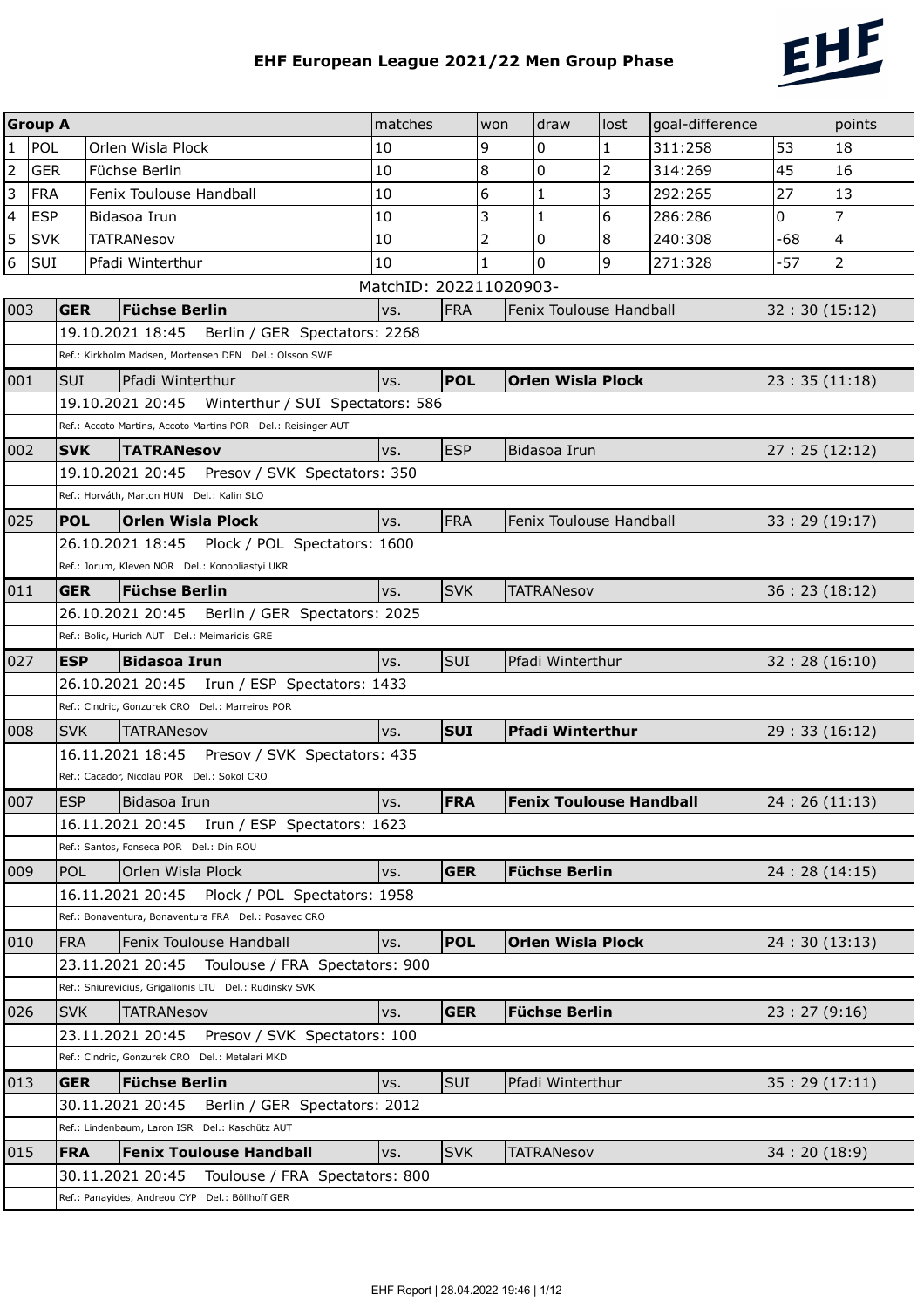

|                         | <b>Group A</b> |             |                                                                                                       | matches                |            | won | draw                           | lost | goal-difference |               | points                   |
|-------------------------|----------------|-------------|-------------------------------------------------------------------------------------------------------|------------------------|------------|-----|--------------------------------|------|-----------------|---------------|--------------------------|
| $\mathbf{1}$            | POL            |             | Orlen Wisla Plock                                                                                     | 10                     |            | 9   | 0                              | 1    | 311:258         | 53            | 18                       |
| $\overline{2}$          | <b>GER</b>     |             | Füchse Berlin                                                                                         | 10                     |            | 8   | 0                              | 2    | 314:269         | 45            | 16                       |
| $\overline{3}$          | <b>FRA</b>     |             | Fenix Toulouse Handball                                                                               | 10                     |            | 6   | $\mathbf{1}$                   | 3    | 292:265         | 27            | 13                       |
| $\overline{\mathbf{4}}$ | <b>ESP</b>     |             | Bidasoa Irun                                                                                          | 10                     | 3          |     | 1                              | 6    | 286:286         | 0             | 7                        |
| 5                       | <b>SVK</b>     |             | <b>TATRANesov</b>                                                                                     | 10                     |            | 2   | 0                              | 8    | 240:308         | -68           | $\overline{\mathcal{L}}$ |
| 6                       | SUI            |             | Pfadi Winterthur                                                                                      | 10                     |            | 1   | 0                              | 9    | 271:328         | -57           | $\overline{2}$           |
|                         |                |             |                                                                                                       | MatchID: 202211020903- |            |     |                                |      |                 |               |                          |
| 003                     |                | <b>GER</b>  | <b>Füchse Berlin</b>                                                                                  | VS.                    | <b>FRA</b> |     | Fenix Toulouse Handball        |      |                 | 32:30(15:12)  |                          |
|                         |                |             | 19.10.2021 18:45<br>Berlin / GER Spectators: 2268                                                     |                        |            |     |                                |      |                 |               |                          |
|                         |                |             | Ref.: Kirkholm Madsen, Mortensen DEN Del.: Olsson SWE                                                 |                        |            |     |                                |      |                 |               |                          |
| 001                     |                | <b>SUI</b>  | Pfadi Winterthur                                                                                      | vs.                    | <b>POL</b> |     | <b>Orlen Wisla Plock</b>       |      |                 | 23:35(11:18)  |                          |
|                         |                |             | 19.10.2021 20:45<br>Winterthur / SUI Spectators: 586                                                  |                        |            |     |                                |      |                 |               |                          |
|                         |                |             | Ref.: Accoto Martins, Accoto Martins POR Del.: Reisinger AUT                                          |                        |            |     |                                |      |                 |               |                          |
| 002                     |                | <b>SVK</b>  | <b>TATRANesov</b>                                                                                     | vs.                    | <b>ESP</b> |     | Bidasoa Irun                   |      |                 | 27:25(12:12)  |                          |
|                         |                |             | 19.10.2021 20:45    Presov / SVK Spectators: 350<br>Ref.: Horváth, Marton HUN Del.: Kalin SLO         |                        |            |     |                                |      |                 |               |                          |
| 025                     |                | <b>POL</b>  | <b>Orlen Wisla Plock</b>                                                                              | VS.                    | <b>FRA</b> |     | Fenix Toulouse Handball        |      |                 |               |                          |
|                         |                |             | 26.10.2021 18:45 Plock / POL Spectators: 1600                                                         |                        |            |     |                                |      |                 | 33:29 (19:17) |                          |
|                         |                |             | Ref.: Jorum, Kleven NOR Del.: Konopliastyi UKR                                                        |                        |            |     |                                |      |                 |               |                          |
| 011                     |                | <b>GER</b>  | <b>Füchse Berlin</b>                                                                                  | VS.                    | <b>SVK</b> |     | <b>TATRANesov</b>              |      |                 | 36:23(18:12)  |                          |
|                         |                |             | 26.10.2021 20:45    Berlin / GER Spectators: 2025                                                     |                        |            |     |                                |      |                 |               |                          |
|                         |                |             | Ref.: Bolic, Hurich AUT Del.: Meimaridis GRE                                                          |                        |            |     |                                |      |                 |               |                          |
| 027                     |                | <b>IESP</b> | <b>Bidasoa Irun</b>                                                                                   | VS.                    | SUI        |     | Pfadi Winterthur               |      |                 | 32:28(16:10)  |                          |
|                         |                |             | 26.10.2021 20:45    Irun / ESP Spectators: 1433                                                       |                        |            |     |                                |      |                 |               |                          |
|                         |                |             | Ref.: Cindric, Gonzurek CRO Del.: Marreiros POR                                                       |                        |            |     |                                |      |                 |               |                          |
| 008                     |                | <b>SVK</b>  | <b>TATRANesov</b>                                                                                     | VS.                    | <b>SUI</b> |     | <b>Pfadi Winterthur</b>        |      |                 | 29:33(16:12)  |                          |
|                         |                |             | 16.11.2021 18:45    Presov / SVK Spectators: 435                                                      |                        |            |     |                                |      |                 |               |                          |
|                         |                |             | Ref.: Cacador, Nicolau POR Del.: Sokol CRO                                                            |                        |            |     |                                |      |                 |               |                          |
| 007                     |                | <b>ESP</b>  | Bidasoa Irun                                                                                          | VS.                    | <b>FRA</b> |     | <b>Fenix Toulouse Handball</b> |      |                 | 24:26(11:13)  |                          |
|                         |                |             | 16.11.2021 20:45    Irun / ESP Spectators: 1623                                                       |                        |            |     |                                |      |                 |               |                          |
|                         |                |             | Ref.: Santos, Fonseca POR Del.: Din ROU                                                               |                        |            |     |                                |      |                 |               |                          |
| 009                     |                | POL         | Orlen Wisla Plock                                                                                     | vs.                    | <b>GER</b> |     | <b>Füchse Berlin</b>           |      |                 | 24:28(14:15)  |                          |
|                         |                |             | Plock / POL Spectators: 1958<br>16.11.2021 20:45                                                      |                        |            |     |                                |      |                 |               |                          |
|                         |                |             | Ref.: Bonaventura, Bonaventura FRA Del.: Posavec CRO                                                  |                        |            |     |                                |      |                 |               |                          |
| 010                     |                | <b>FRA</b>  | Fenix Toulouse Handball                                                                               | vs.                    | <b>POL</b> |     | <b>Orlen Wisla Plock</b>       |      |                 | 24:30(13:13)  |                          |
|                         |                |             | 23.11.2021 20:45 Toulouse / FRA Spectators: 900                                                       |                        |            |     |                                |      |                 |               |                          |
|                         |                |             | Ref.: Sniurevicius, Grigalionis LTU Del.: Rudinsky SVK                                                |                        |            |     |                                |      |                 |               |                          |
| 026                     |                | <b>SVK</b>  | <b>TATRANesov</b>                                                                                     | vs.                    | <b>GER</b> |     | <b>Füchse Berlin</b>           |      |                 | 23:27(9:16)   |                          |
|                         |                |             | 23.11.2021 20:45<br>Presov / SVK Spectators: 100                                                      |                        |            |     |                                |      |                 |               |                          |
|                         |                |             | Ref.: Cindric, Gonzurek CRO Del.: Metalari MKD                                                        |                        |            |     |                                |      |                 |               |                          |
| 013                     |                | <b>GER</b>  | <b>Füchse Berlin</b>                                                                                  | VS.                    | SUI        |     | Pfadi Winterthur               |      |                 | 35:29(17:11)  |                          |
|                         |                |             | 30.11.2021 20:45<br>Berlin / GER Spectators: 2012                                                     |                        |            |     |                                |      |                 |               |                          |
|                         |                |             | Ref.: Lindenbaum, Laron ISR Del.: Kaschütz AUT                                                        |                        | <b>SVK</b> |     |                                |      |                 |               |                          |
| 015                     |                | FRA         | <b>Fenix Toulouse Handball</b>                                                                        | VS.                    |            |     | <b>TATRANesov</b>              |      |                 | 34:20(18:9)   |                          |
|                         |                |             | 30.11.2021 20:45<br>Toulouse / FRA Spectators: 800<br>Ref.: Panayides, Andreou CYP Del.: Böllhoff GER |                        |            |     |                                |      |                 |               |                          |
|                         |                |             |                                                                                                       |                        |            |     |                                |      |                 |               |                          |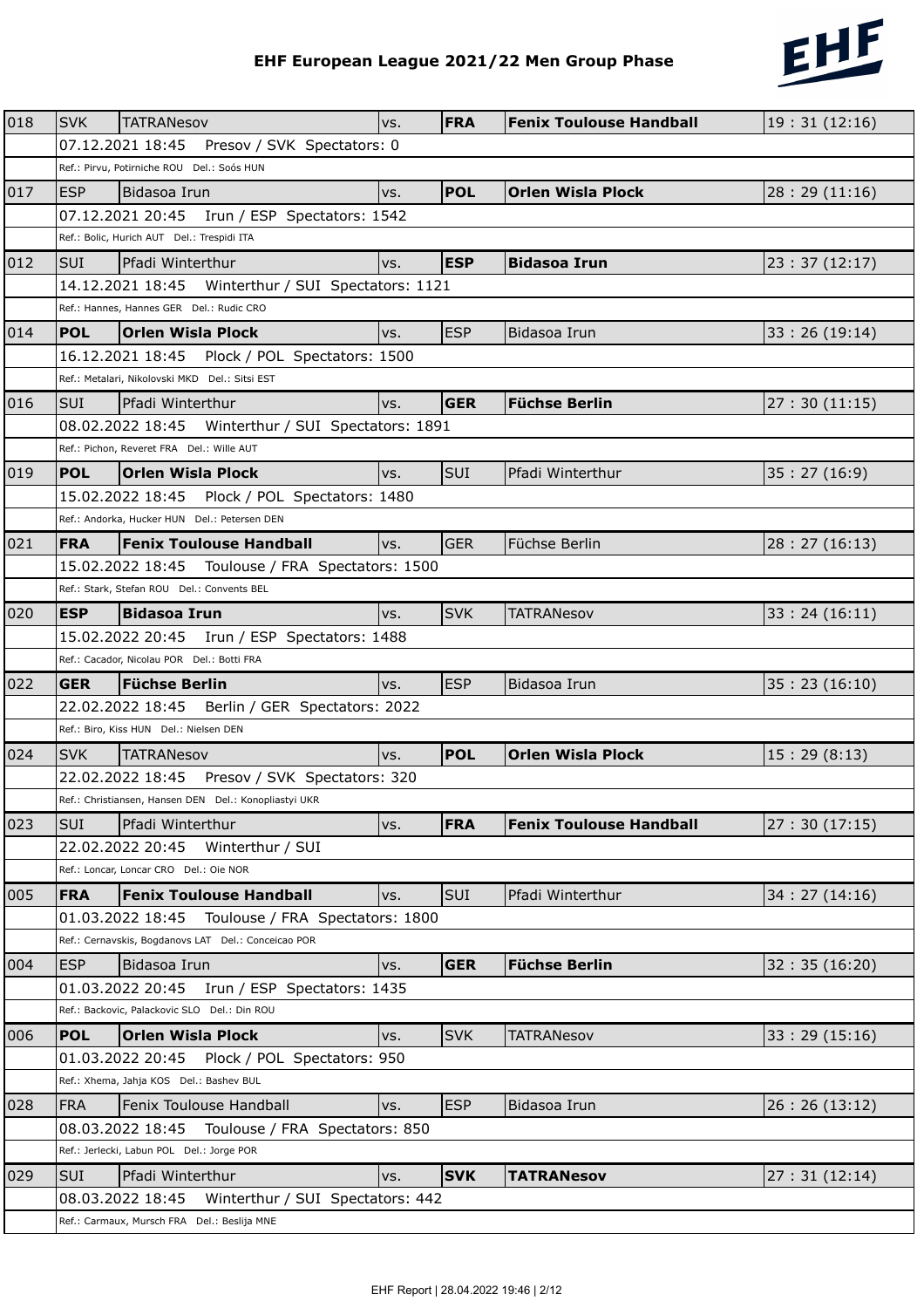

|     |            |                                                                                                           |     |            | EHF European League 2021/22 Men Group Phase | 2122         |
|-----|------------|-----------------------------------------------------------------------------------------------------------|-----|------------|---------------------------------------------|--------------|
|     |            |                                                                                                           |     |            |                                             |              |
| 018 | <b>SVK</b> | <b>TATRANesov</b>                                                                                         | VS. | <b>FRA</b> | <b>Fenix Toulouse Handball</b>              | 19:31(12:16) |
|     |            | Presov / SVK Spectators: 0<br>07.12.2021 18:45                                                            |     |            |                                             |              |
|     |            | Ref.: Pirvu, Potirniche ROU Del.: Soós HUN                                                                |     |            |                                             |              |
| 017 | <b>ESP</b> | Bidasoa Irun                                                                                              | vs. | <b>POL</b> | <b>Orlen Wisla Plock</b>                    | 28:29(11:16) |
|     |            | 07.12.2021 20:45<br>Irun / ESP Spectators: 1542                                                           |     |            |                                             |              |
|     |            | Ref.: Bolic, Hurich AUT Del.: Trespidi ITA                                                                |     |            |                                             |              |
| 012 | <b>SUI</b> | Pfadi Winterthur                                                                                          | VS. | <b>ESP</b> | <b>Bidasoa Irun</b>                         | 23:37(12:17) |
|     |            |                                                                                                           |     |            |                                             |              |
|     |            | Ref.: Hannes, Hannes GER Del.: Rudic CRO                                                                  |     |            |                                             |              |
| 014 | <b>POL</b> | <b>Orlen Wisla Plock</b>                                                                                  | VS. | <b>ESP</b> | Bidasoa Irun                                | 33:26(19:14) |
|     |            | 16.12.2021 18:45 Plock / POL Spectators: 1500                                                             |     |            |                                             |              |
|     |            | Ref.: Metalari, Nikolovski MKD Del.: Sitsi EST                                                            |     |            |                                             |              |
| 016 | <b>SUI</b> | Pfadi Winterthur                                                                                          | VS. | <b>GER</b> | <b>Füchse Berlin</b>                        | 27:30(11:15) |
|     |            |                                                                                                           |     |            |                                             |              |
|     |            | Ref.: Pichon, Reveret FRA Del.: Wille AUT                                                                 |     |            |                                             |              |
| 019 | <b>POL</b> | <b>Orlen Wisla Plock</b>                                                                                  | VS. | SUI        | Pfadi Winterthur                            | 35:27(16:9)  |
|     |            | 15.02.2022 18:45<br>Plock / POL Spectators: 1480                                                          |     |            |                                             |              |
|     |            | Ref.: Andorka, Hucker HUN Del.: Petersen DEN                                                              |     |            |                                             |              |
| 021 | <b>FRA</b> | <b>Fenix Toulouse Handball</b>                                                                            | vs. | <b>GER</b> | Füchse Berlin                               | 28:27(16:13) |
|     |            |                                                                                                           |     |            |                                             |              |
|     |            | Ref.: Stark, Stefan ROU Del.: Convents BEL                                                                |     |            |                                             |              |
| 020 | <b>ESP</b> | <b>Bidasoa Irun</b>                                                                                       | vs. | <b>SVK</b> | <b>TATRANesov</b>                           | 33:24(16:11) |
|     |            | 15.02.2022 20:45    Irun / ESP Spectators: 1488                                                           |     |            |                                             |              |
|     |            | Ref.: Cacador, Nicolau POR Del.: Botti FRA                                                                |     |            |                                             |              |
| 022 | <b>GER</b> | <b>Füchse Berlin</b>                                                                                      | vs. | <b>ESP</b> |                                             |              |
|     |            | 22.02.2022 18:45    Berlin / GER Spectators: 2022                                                         |     |            | Bidasoa Irun                                | 35:23(16:10) |
|     |            | Ref.: Biro, Kiss HUN Del.: Nielsen DEN                                                                    |     |            |                                             |              |
| 024 |            | SVK TATRANesov                                                                                            |     | <b>POL</b> | Orlen Wisla Plock                           | 15:29(8:13)  |
|     |            |                                                                                                           | vs. |            |                                             |              |
|     |            | 22.02.2022 18:45    Presov / SVK Spectators: 320<br>Ref.: Christiansen, Hansen DEN Del.: Konopliastyi UKR |     |            |                                             |              |
|     |            |                                                                                                           |     |            |                                             |              |
| 023 | <b>SUI</b> | Pfadi Winterthur                                                                                          | vs. | <b>FRA</b> | <b>Fenix Toulouse Handball</b>              | 27:30(17:15) |
|     |            | 22.02.2022 20:45<br>Winterthur / SUI<br>Ref.: Loncar, Loncar CRO Del.: Oie NOR                            |     |            |                                             |              |
|     |            |                                                                                                           |     |            |                                             |              |
| 005 | <b>FRA</b> | <b>Fenix Toulouse Handball</b>                                                                            | vs. | SUI        | Pfadi Winterthur                            | 34:27(14:16) |
|     |            | 01.03.2022 18:45<br>Toulouse / FRA Spectators: 1800                                                       |     |            |                                             |              |
|     |            | Ref.: Cernavskis, Bogdanovs LAT Del.: Conceicao POR                                                       |     |            |                                             |              |
| 004 | <b>ESP</b> | Bidasoa Irun                                                                                              | VS. | <b>GER</b> | <b>Füchse Berlin</b>                        | 32:35(16:20) |
|     |            | 01.03.2022 20:45<br>Irun / ESP Spectators: 1435                                                           |     |            |                                             |              |
|     |            | Ref.: Backovic, Palackovic SLO Del.: Din ROU                                                              |     |            |                                             |              |
| 006 | <b>POL</b> | <b>Orlen Wisla Plock</b>                                                                                  | VS. | <b>SVK</b> | <b>TATRANesov</b>                           | 33:29(15:16) |
|     |            | 01.03.2022 20:45    Plock / POL Spectators: 950                                                           |     |            |                                             |              |
|     |            | Ref.: Xhema, Jahja KOS Del.: Bashev BUL                                                                   |     |            |                                             |              |
| 028 | <b>FRA</b> | Fenix Toulouse Handball                                                                                   | VS. | <b>ESP</b> | Bidasoa Irun                                | 26:26(13:12) |
|     |            | 08.03.2022 18:45 Toulouse / FRA Spectators: 850                                                           |     |            |                                             |              |
|     |            | Ref.: Jerlecki, Labun POL Del.: Jorge POR                                                                 |     |            |                                             |              |
| 029 | <b>SUI</b> | Pfadi Winterthur                                                                                          | VS. | <b>SVK</b> | <b>TATRANesov</b>                           | 27:31(12:14) |
|     |            | 08.03.2022 18:45<br>Winterthur / SUI Spectators: 442                                                      |     |            |                                             |              |
|     |            | Ref.: Carmaux, Mursch FRA Del.: Beslija MNE                                                               |     |            |                                             |              |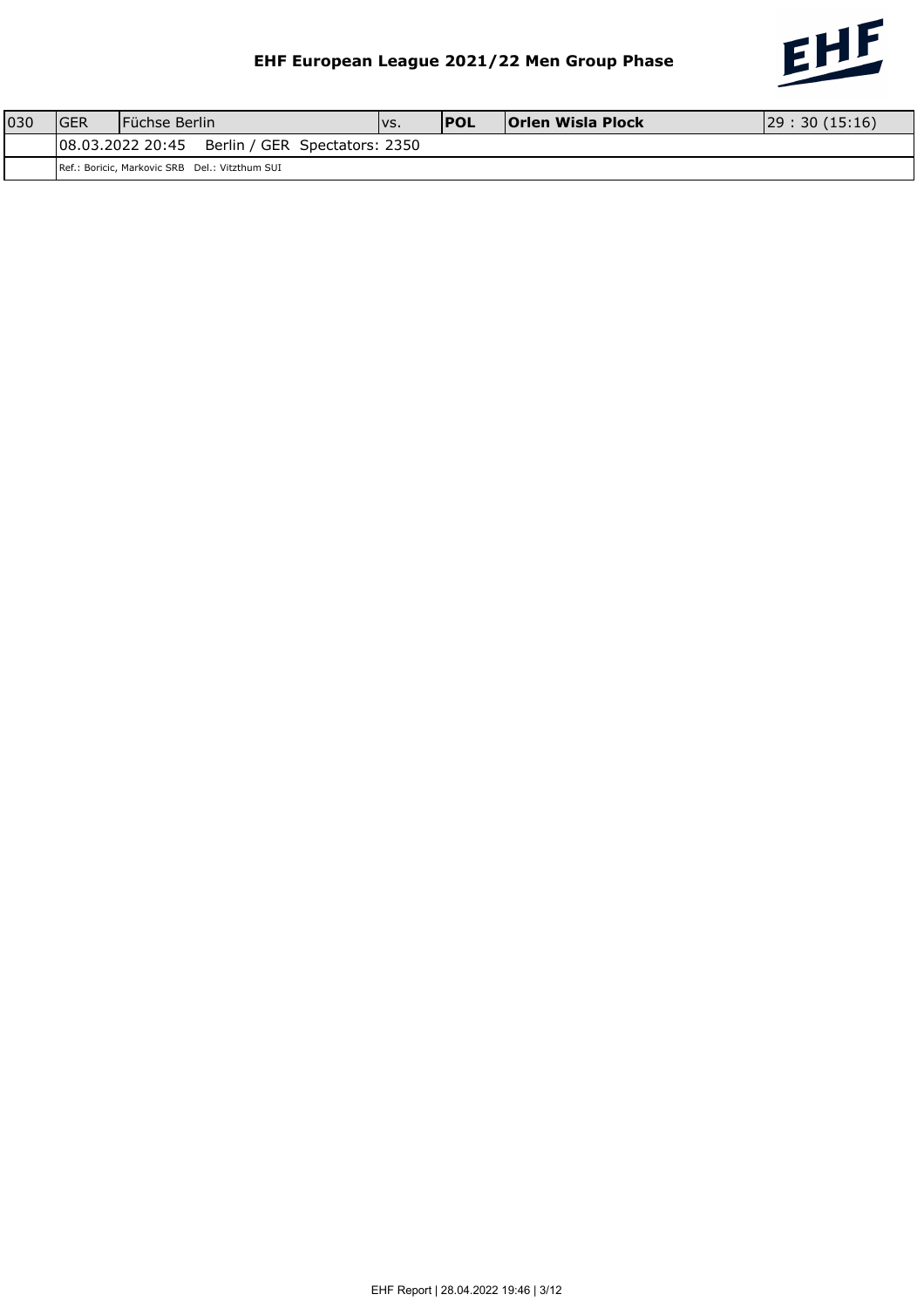

| 030 | IGER | lFüchse Berlin   |                                                |  | IVS. | <b>IPOL</b> | <b>Orlen Wisla Plock</b> | 29:30(15:16) |
|-----|------|------------------|------------------------------------------------|--|------|-------------|--------------------------|--------------|
|     |      | 08.03.2022 20:45 | Berlin / GER Spectators: 2350                  |  |      |             |                          |              |
|     |      |                  | Ref.: Boricic, Markovic SRB Del.: Vitzthum SUI |  |      |             |                          |              |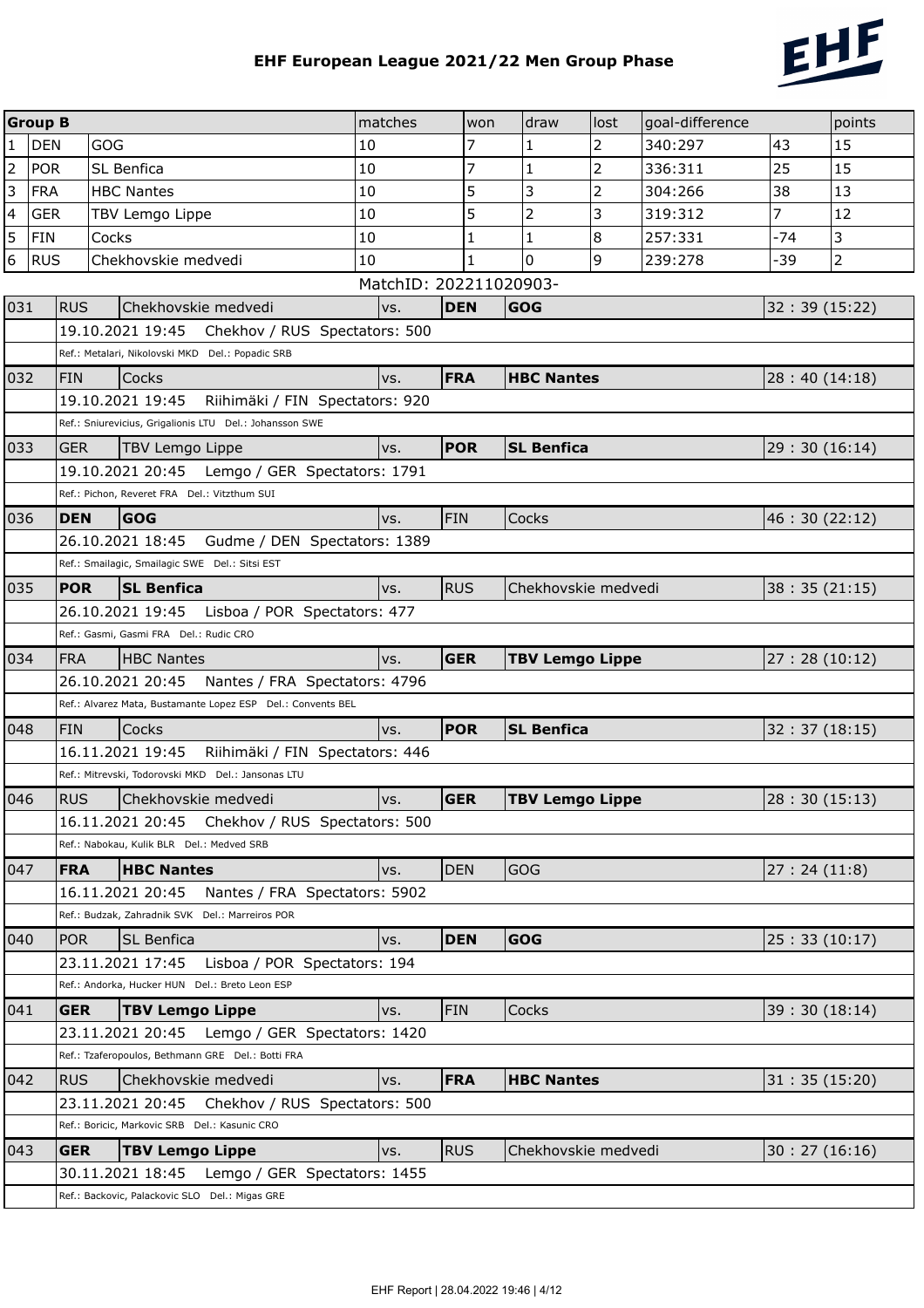

|                | <b>Group B</b> |            |            |                                                                                                    | matches<br>won         |            | draw                   | lost           | goal-difference |              | points         |
|----------------|----------------|------------|------------|----------------------------------------------------------------------------------------------------|------------------------|------------|------------------------|----------------|-----------------|--------------|----------------|
| 1              | <b>DEN</b>     |            | <b>GOG</b> |                                                                                                    | 10                     | 7          | 1                      | 2              | 340:297         | 43           | 15             |
| $\overline{2}$ | <b>POR</b>     |            | SL Benfica |                                                                                                    | 10                     | 7          | $\mathbf{1}$           | 2              | 336:311         | 25           | 15             |
| 3              | FRA            |            |            | <b>HBC Nantes</b>                                                                                  | 10                     | 5          | 3                      | $\overline{2}$ | 304:266         | 38           | 13             |
| 4              | <b>GER</b>     |            |            | TBV Lemgo Lippe                                                                                    | 10                     | 5          | $\overline{2}$         | 3              | 319:312         | 7            | 12             |
| 5              | <b>FIN</b>     |            | Cocks      |                                                                                                    | 10                     | 1          | 1                      | 8              | 257:331         | -74          | 3              |
| 6              | <b>RUS</b>     |            |            | Chekhovskie medvedi                                                                                | 10                     | 1          | 0                      | 9              | 239:278         | -39          | $\overline{2}$ |
|                |                |            |            |                                                                                                    | MatchID: 202211020903- |            |                        |                |                 |              |                |
| 031            |                | <b>RUS</b> |            | Chekhovskie medvedi                                                                                | VS.                    | <b>DEN</b> | <b>GOG</b>             |                |                 | 32:39(15:22) |                |
|                |                |            |            | 19.10.2021 19:45<br>Chekhov / RUS Spectators: 500                                                  |                        |            |                        |                |                 |              |                |
|                |                |            |            | Ref.: Metalari, Nikolovski MKD Del.: Popadic SRB                                                   |                        |            |                        |                |                 |              |                |
| 032            |                | <b>FIN</b> |            | Cocks                                                                                              | VS.                    | <b>FRA</b> | <b>HBC Nantes</b>      |                |                 | 28:40(14:18) |                |
|                |                |            |            | 19.10.2021 19:45<br>Riihimäki / FIN Spectators: 920                                                |                        |            |                        |                |                 |              |                |
|                |                |            |            | Ref.: Sniurevicius, Grigalionis LTU Del.: Johansson SWE                                            |                        |            |                        |                |                 |              |                |
| 033            |                | <b>GER</b> |            | <b>TBV Lemgo Lippe</b>                                                                             | VS.                    | <b>POR</b> | <b>SL Benfica</b>      |                |                 | 29:30(16:14) |                |
|                |                |            |            | 19.10.2021 20:45 Lemgo / GER Spectators: 1791<br>Ref.: Pichon, Reveret FRA Del.: Vitzthum SUI      |                        |            |                        |                |                 |              |                |
|                |                |            |            |                                                                                                    |                        |            |                        |                |                 |              |                |
| 036            |                | <b>DEN</b> |            | <b>GOG</b>                                                                                         | VS.                    | <b>FIN</b> | <b>Cocks</b>           |                |                 | 46:30(22:12) |                |
|                |                |            |            | 26.10.2021 18:45 Gudme / DEN Spectators: 1389<br>Ref.: Smailagic, Smailagic SWE Del.: Sitsi EST    |                        |            |                        |                |                 |              |                |
| 035            |                | <b>POR</b> |            | <b>SL Benfica</b>                                                                                  | vs.                    | <b>RUS</b> | Chekhovskie medvedi    |                |                 | 38:35(21:15) |                |
|                |                |            |            | 26.10.2021 19:45    Lisboa / POR Spectators: 477                                                   |                        |            |                        |                |                 |              |                |
|                |                |            |            | Ref.: Gasmi, Gasmi FRA Del.: Rudic CRO                                                             |                        |            |                        |                |                 |              |                |
| 034            |                | <b>FRA</b> |            | <b>HBC Nantes</b>                                                                                  | VS.                    | <b>GER</b> | <b>TBV Lemgo Lippe</b> |                |                 | 27:28(10:12) |                |
|                |                |            |            | 26.10.2021 20:45<br>Nantes / FRA Spectators: 4796                                                  |                        |            |                        |                |                 |              |                |
|                |                |            |            | Ref.: Alvarez Mata, Bustamante Lopez ESP Del.: Convents BEL                                        |                        |            |                        |                |                 |              |                |
| 048            |                | <b>FIN</b> |            | Cocks                                                                                              | VS.                    | <b>POR</b> | <b>SL Benfica</b>      |                |                 | 32:37(18:15) |                |
|                |                |            |            | 16.11.2021 19:45<br>Riihimäki / FIN Spectators: 446                                                |                        |            |                        |                |                 |              |                |
|                |                |            |            | Ref.: Mitrevski, Todorovski MKD Del.: Jansonas LTU                                                 |                        |            |                        |                |                 |              |                |
| 046            |                | <b>RUS</b> |            | Chekhovskie medvedi                                                                                | VS.                    | <b>GER</b> | <b>TBV Lemgo Lippe</b> |                |                 | 28:30(15:13) |                |
|                |                |            |            | 16.11.2021 20:45 Chekhov / RUS Spectators: 500                                                     |                        |            |                        |                |                 |              |                |
|                |                |            |            | Ref.: Nabokau, Kulik BLR Del.: Medved SRB                                                          |                        |            |                        |                |                 |              |                |
| 047            |                | <b>FRA</b> |            | <b>HBC Nantes</b>                                                                                  | vs.                    | <b>DEN</b> | <b>GOG</b>             |                |                 | 27:24(11:8)  |                |
|                |                |            |            | 16.11.2021 20:45<br>Nantes / FRA Spectators: 5902                                                  |                        |            |                        |                |                 |              |                |
|                |                |            |            | Ref.: Budzak, Zahradnik SVK Del.: Marreiros POR                                                    |                        |            |                        |                |                 |              |                |
| 040            |                | <b>POR</b> |            | SL Benfica                                                                                         | vs.                    | <b>DEN</b> | <b>GOG</b>             |                |                 | 25:33(10:17) |                |
|                |                |            |            | 23.11.2021 17:45<br>Lisboa / POR Spectators: 194                                                   |                        |            |                        |                |                 |              |                |
|                |                |            |            | Ref.: Andorka, Hucker HUN Del.: Breto Leon ESP                                                     |                        |            |                        |                |                 |              |                |
| 041            |                | <b>GER</b> |            | <b>TBV Lemgo Lippe</b>                                                                             | VS.                    | <b>FIN</b> | Cocks                  |                |                 | 39:30(18:14) |                |
|                |                |            |            | 23.11.2021 20:45<br>Lemgo / GER Spectators: 1420                                                   |                        |            |                        |                |                 |              |                |
|                |                |            |            | Ref.: Tzaferopoulos, Bethmann GRE Del.: Botti FRA                                                  |                        |            |                        |                |                 |              |                |
| 042            |                | <b>RUS</b> |            | Chekhovskie medvedi                                                                                | vs.                    | <b>FRA</b> | <b>HBC Nantes</b>      |                |                 | 31:35(15:20) |                |
|                |                |            |            | Chekhov / RUS Spectators: 500<br>23.11.2021 20:45<br>Ref.: Boricic, Markovic SRB Del.: Kasunic CRO |                        |            |                        |                |                 |              |                |
| 043            |                | <b>GER</b> |            | <b>TBV Lemgo Lippe</b>                                                                             | vs.                    | <b>RUS</b> | Chekhovskie medvedi    |                |                 | 30:27(16:16) |                |
|                |                |            |            | 30.11.2021 18:45<br>Lemgo / GER Spectators: 1455                                                   |                        |            |                        |                |                 |              |                |
|                |                |            |            | Ref.: Backovic, Palackovic SLO Del.: Migas GRE                                                     |                        |            |                        |                |                 |              |                |
|                |                |            |            |                                                                                                    |                        |            |                        |                |                 |              |                |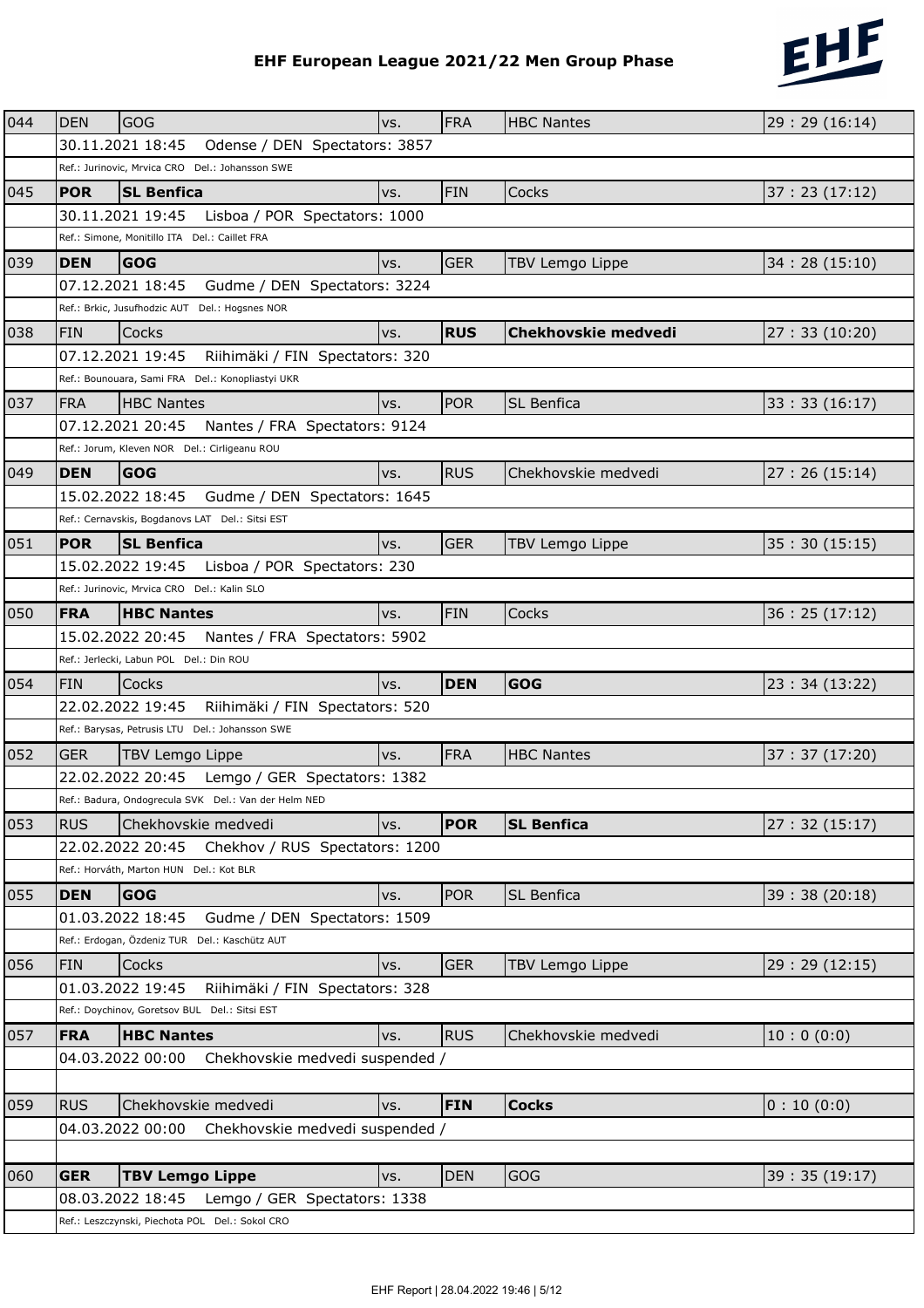

|     |            |                                                      |     |            | EHF European League 2021/22 Men Group Phase | 2022          |
|-----|------------|------------------------------------------------------|-----|------------|---------------------------------------------|---------------|
|     |            |                                                      |     |            |                                             |               |
| 044 | <b>DEN</b> | <b>GOG</b>                                           | VS. | <b>FRA</b> | <b>HBC Nantes</b>                           | 29:29 (16:14) |
|     |            | 30.11.2021 18:45<br>Odense / DEN Spectators: 3857    |     |            |                                             |               |
|     |            | Ref.: Jurinovic, Mrvica CRO Del.: Johansson SWE      |     |            |                                             |               |
| 045 | <b>POR</b> | <b>SL Benfica</b>                                    | vs. | <b>FIN</b> | Cocks                                       | 37:23(17:12)  |
|     |            | 30.11.2021 19:45<br>Lisboa / POR Spectators: 1000    |     |            |                                             |               |
|     |            | Ref.: Simone, Monitillo ITA Del.: Caillet FRA        |     |            |                                             |               |
| 039 | <b>DEN</b> | <b>GOG</b>                                           | vs. | <b>GER</b> | TBV Lemgo Lippe                             | 34:28(15:10)  |
|     |            | 07.12.2021 18:45<br>Gudme / DEN Spectators: 3224     |     |            |                                             |               |
|     |            | Ref.: Brkic, Jusufhodzic AUT Del.: Hogsnes NOR       |     |            |                                             |               |
| 038 | <b>FIN</b> | Cocks                                                | VS. | <b>RUS</b> | <b>Chekhovskie medvedi</b>                  | 27:33(10:20)  |
|     |            | 07.12.2021 19:45<br>Riihimäki / FIN Spectators: 320  |     |            |                                             |               |
|     |            | Ref.: Bounouara, Sami FRA Del.: Konopliastyi UKR     |     |            |                                             |               |
| 037 | <b>FRA</b> | <b>HBC Nantes</b>                                    | VS. | <b>POR</b> | <b>SL Benfica</b>                           | 33:33(16:17)  |
|     |            | 07.12.2021 20:45<br>Nantes / FRA Spectators: 9124    |     |            |                                             |               |
|     |            | Ref.: Jorum, Kleven NOR Del.: Cirligeanu ROU         |     |            |                                             |               |
| 049 | <b>DEN</b> | <b>GOG</b>                                           | VS. | <b>RUS</b> | Chekhovskie medvedi                         | 27:26(15:14)  |
|     |            | Gudme / DEN Spectators: 1645<br>15.02.2022 18:45     |     |            |                                             |               |
|     |            | Ref.: Cernavskis, Bogdanovs LAT Del.: Sitsi EST      |     |            |                                             |               |
| 051 | <b>POR</b> | <b>SL Benfica</b>                                    | vs. | <b>GER</b> | <b>TBV Lemgo Lippe</b>                      | 35:30(15:15)  |
|     |            | 15.02.2022 19:45<br>Lisboa / POR Spectators: 230     |     |            |                                             |               |
|     |            | Ref.: Jurinovic, Mrvica CRO Del.: Kalin SLO          |     |            |                                             |               |
| 050 | <b>FRA</b> | <b>HBC Nantes</b>                                    | VS. | <b>FIN</b> | <b>Cocks</b>                                | 36:25(17:12)  |
|     |            | 15.02.2022 20:45<br>Nantes / FRA Spectators: 5902    |     |            |                                             |               |
|     |            | Ref.: Jerlecki, Labun POL Del.: Din ROU              |     |            |                                             |               |
| 054 | <b>FIN</b> | Cocks                                                | vs. | <b>DEN</b> | GOG                                         | 23:34 (13:22) |
|     |            | 22.02.2022 19:45<br>Riihimäki / FIN Spectators: 520  |     |            |                                             |               |
|     |            | Ref.: Barysas, Petrusis LTU Del.: Johansson SWE      |     |            |                                             |               |
| 052 |            | GER TBV Lemgo Lippe                                  |     | <b>FRA</b> | <b>HBC Nantes</b>                           | 37:37(17:20)  |
|     |            | 22.02.2022 20:45    Lemgo / GER Spectators: 1382     | vs. |            |                                             |               |
|     |            | Ref.: Badura, Ondogrecula SVK Del.: Van der Helm NED |     |            |                                             |               |
| 053 | <b>RUS</b> | Chekhovskie medvedi                                  | vs. | <b>POR</b> | <b>SL Benfica</b>                           | 27:32(15:17)  |
|     |            | 22.02.2022 20:45 Chekhov / RUS Spectators: 1200      |     |            |                                             |               |
|     |            | Ref.: Horváth, Marton HUN Del.: Kot BLR              |     |            |                                             |               |
|     |            |                                                      |     |            |                                             |               |
| 055 | <b>DEN</b> | <b>GOG</b>                                           | VS. | <b>POR</b> | <b>SL Benfica</b>                           | 39:38(20:18)  |
|     |            | Gudme / DEN Spectators: 1509<br>01.03.2022 18:45     |     |            |                                             |               |
|     |            | Ref.: Erdogan, Özdeniz TUR Del.: Kaschütz AUT        |     |            |                                             |               |
| 056 | <b>FIN</b> | Cocks                                                | vs. | <b>GER</b> | <b>TBV Lemgo Lippe</b>                      | 29:29 (12:15) |
|     |            | 01.03.2022 19:45<br>Riihimäki / FIN Spectators: 328  |     |            |                                             |               |
|     |            | Ref.: Doychinov, Goretsov BUL Del.: Sitsi EST        |     |            |                                             |               |
| 057 | <b>FRA</b> | <b>HBC Nantes</b>                                    | VS. | <b>RUS</b> | Chekhovskie medvedi                         | 10:0(0:0)     |
|     |            | 04.03.2022 00:00<br>Chekhovskie medvedi suspended /  |     |            |                                             |               |
|     |            |                                                      |     |            |                                             |               |
| 059 | <b>RUS</b> | Chekhovskie medvedi                                  | VS. | <b>FIN</b> | <b>Cocks</b>                                | 0:10(0:0)     |
|     |            | 04.03.2022 00:00<br>Chekhovskie medvedi suspended /  |     |            |                                             |               |
|     |            |                                                      |     |            |                                             |               |
| 060 | <b>GER</b> | <b>TBV Lemgo Lippe</b>                               | vs. | <b>DEN</b> | <b>GOG</b>                                  | 39:35(19:17)  |
|     |            | 08.03.2022 18:45<br>Lemgo / GER Spectators: 1338     |     |            |                                             |               |
|     |            | Ref.: Leszczynski, Piechota POL Del.: Sokol CRO      |     |            |                                             |               |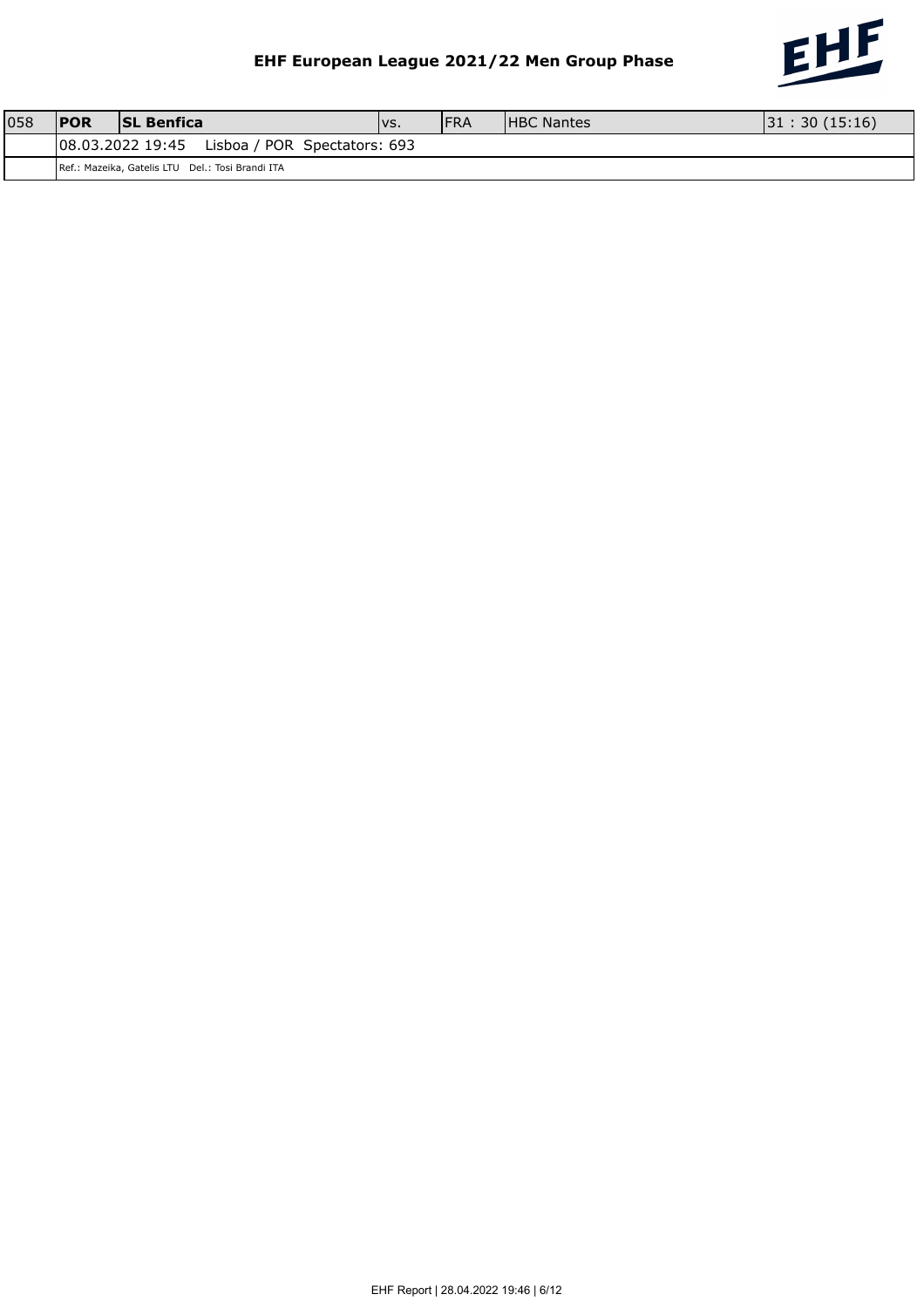

| 058 | <b>IPOR</b> | <b>ISL Benfica</b>                               | VS. | <b>FRA</b> | <b>HBC Nantes</b> | 31:30(15:16) |
|-----|-------------|--------------------------------------------------|-----|------------|-------------------|--------------|
|     |             | 08.03.2022 19:45<br>Lisboa / POR Spectators: 693 |     |            |                   |              |
|     |             | Ref.: Mazeika, Gatelis LTU Del.: Tosi Brandi ITA |     |            |                   |              |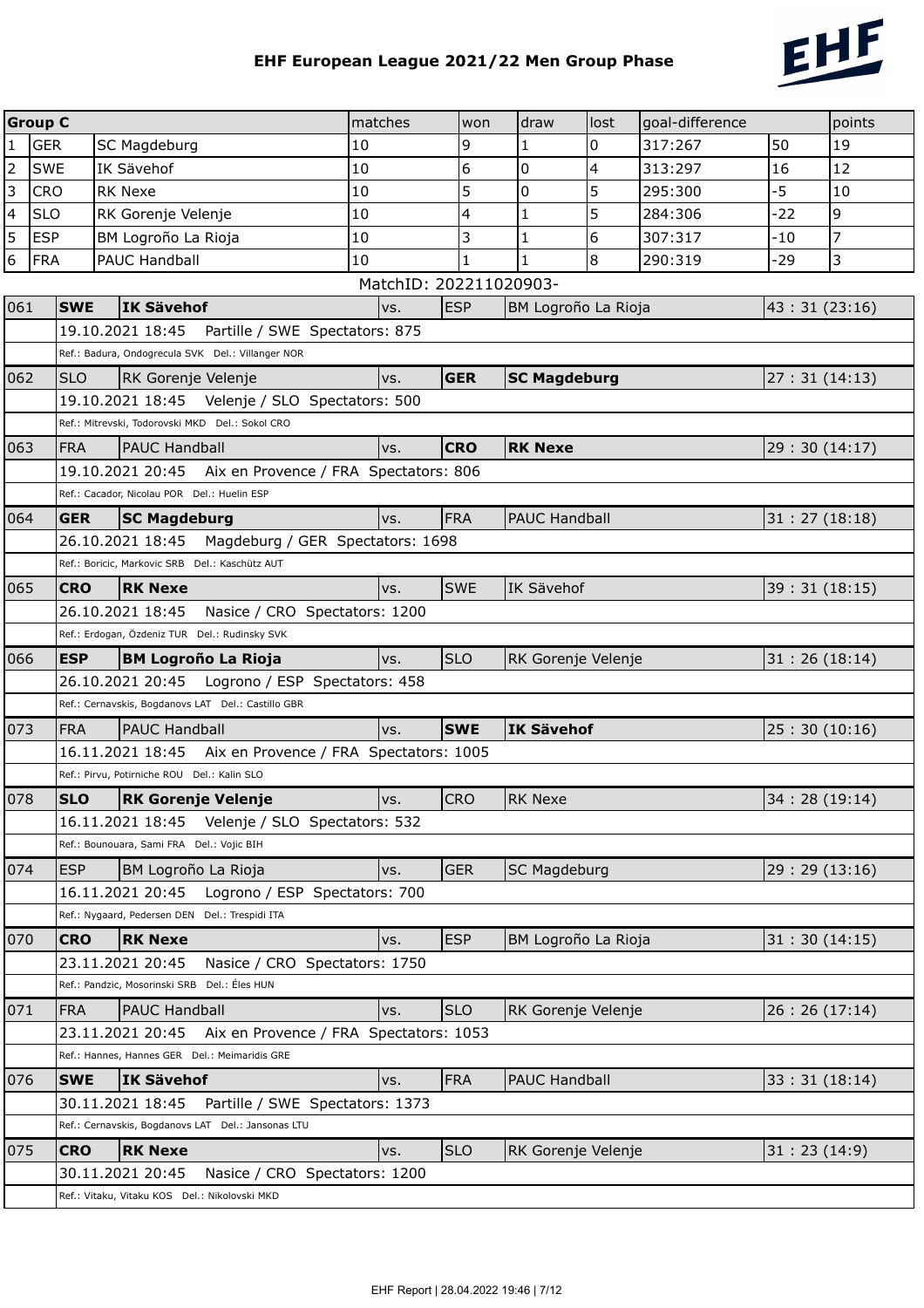

|                | <b>Group C</b> |                                                                                                     | matches                | won        | draw                 | lost | goal-difference |              | points         |
|----------------|----------------|-----------------------------------------------------------------------------------------------------|------------------------|------------|----------------------|------|-----------------|--------------|----------------|
| $\mathbf{1}$   | <b>GER</b>     | SC Magdeburg                                                                                        | 10                     | 9          | 1                    | 0    | 317:267         | 50           | 19             |
| $\overline{2}$ | <b>SWE</b>     | IK Sävehof                                                                                          | 10                     | 6          | 0                    | 4    | 313:297         | 16           | 12             |
| 3              | <b>CRO</b>     | <b>RK Nexe</b>                                                                                      | 10                     | 5          | 0                    | 5    | 295:300         | $-5$         | 10             |
| $\overline{4}$ | <b>SLO</b>     | RK Gorenje Velenje                                                                                  | 10                     | 4          | $\mathbf{1}$         | 5    | 284:306         | $-22$        | $\overline{9}$ |
| 5              | <b>ESP</b>     | BM Logroño La Rioja                                                                                 | 10                     | 3          | 1                    | 6    | 307:317         | $-10$        | $\overline{7}$ |
| 6              | <b>FRA</b>     | PAUC Handball                                                                                       | 10                     | 1          | 1                    | 8    | 290:319         | -29          | 3              |
|                |                |                                                                                                     | MatchID: 202211020903- |            |                      |      |                 |              |                |
| 061            | <b>SWE</b>     | <b>IK Sävehof</b>                                                                                   | vs.                    | <b>ESP</b> | BM Logroño La Rioja  |      |                 | 43:31(23:16) |                |
|                |                | 19.10.2021 18:45<br>Partille / SWE Spectators: 875                                                  |                        |            |                      |      |                 |              |                |
|                |                | Ref.: Badura, Ondogrecula SVK Del.: Villanger NOR                                                   |                        |            |                      |      |                 |              |                |
| 062            | <b>SLO</b>     | RK Gorenje Velenje                                                                                  | vs.                    | <b>GER</b> | <b>SC Magdeburg</b>  |      |                 | 27:31(14:13) |                |
|                |                | 19.10.2021 18:45  Velenje / SLO Spectators: 500                                                     |                        |            |                      |      |                 |              |                |
|                |                | Ref.: Mitrevski, Todorovski MKD Del.: Sokol CRO                                                     |                        |            |                      |      |                 |              |                |
| 063            | <b>FRA</b>     | <b>PAUC Handball</b>                                                                                | vs.                    | <b>CRO</b> | <b>RK Nexe</b>       |      |                 | 29:30(14:17) |                |
|                |                | 19.10.2021 20:45 Aix en Provence / FRA Spectators: 806                                              |                        |            |                      |      |                 |              |                |
|                |                | Ref.: Cacador, Nicolau POR Del.: Huelin ESP                                                         |                        |            |                      |      |                 |              |                |
| 064            | <b>GER</b>     | <b>SC Magdeburg</b>                                                                                 | vs.                    | <b>FRA</b> | <b>PAUC Handball</b> |      |                 | 31:27(18:18) |                |
|                |                | 26.10.2021 18:45 Magdeburg / GER Spectators: 1698<br>Ref.: Boricic, Markovic SRB Del.: Kaschütz AUT |                        |            |                      |      |                 |              |                |
|                |                |                                                                                                     |                        |            |                      |      |                 |              |                |
| 065            | <b>CRO</b>     | <b>RK Nexe</b><br>26.10.2021 18:45                                                                  | vs.                    | SWE        | IK Sävehof           |      |                 | 39:31(18:15) |                |
|                |                | Nasice / CRO Spectators: 1200<br>Ref.: Erdogan, Özdeniz TUR Del.: Rudinsky SVK                      |                        |            |                      |      |                 |              |                |
| 066            | <b>ESP</b>     | <b>BM Logroño La Rioja</b>                                                                          | VS.                    | <b>SLO</b> | RK Gorenje Velenje   |      |                 | 31:26(18:14) |                |
|                |                | 26.10.2021 20:45    Logrono / ESP    Spectators: 458                                                |                        |            |                      |      |                 |              |                |
|                |                | Ref.: Cernavskis, Bogdanovs LAT Del.: Castillo GBR                                                  |                        |            |                      |      |                 |              |                |
| 073            | <b>FRA</b>     | <b>PAUC Handball</b>                                                                                | vs.                    | <b>SWE</b> | IK Sävehof           |      |                 | 25:30(10:16) |                |
|                |                | 16.11.2021 18:45<br>Aix en Provence / FRA Spectators: 1005                                          |                        |            |                      |      |                 |              |                |
|                |                | Ref.: Pirvu, Potirniche ROU Del.: Kalin SLO                                                         |                        |            |                      |      |                 |              |                |
| 078            | <b>SLO</b>     | <b>RK Gorenie Velenie</b>                                                                           | Ivs.                   | <b>CRO</b> | <b>RK Nexe</b>       |      |                 | 34:28(19:14) |                |
|                |                | 16.11.2021 18:45    Velenje / SLO Spectators: 532                                                   |                        |            |                      |      |                 |              |                |
|                |                | Ref.: Bounouara, Sami FRA Del.: Vojic BIH                                                           |                        |            |                      |      |                 |              |                |
| 074            | <b>ESP</b>     | BM Logroño La Rioja                                                                                 | VS.                    | <b>GER</b> | <b>SC Magdeburg</b>  |      |                 | 29:29(13:16) |                |
|                |                | 16.11.2021 20:45<br>Logrono / ESP Spectators: 700                                                   |                        |            |                      |      |                 |              |                |
|                |                | Ref.: Nygaard, Pedersen DEN Del.: Trespidi ITA                                                      |                        |            |                      |      |                 |              |                |
| 070            | <b>CRO</b>     | <b>RK Nexe</b>                                                                                      | vs.                    | <b>ESP</b> | BM Logroño La Rioja  |      |                 | 31:30(14:15) |                |
|                |                | Nasice / CRO Spectators: 1750<br>23.11.2021 20:45                                                   |                        |            |                      |      |                 |              |                |
|                |                | Ref.: Pandzic, Mosorinski SRB Del.: Éles HUN                                                        |                        |            |                      |      |                 |              |                |
| 071            | <b>FRA</b>     | <b>PAUC Handball</b>                                                                                | vs.                    | <b>SLO</b> | RK Gorenje Velenje   |      |                 | 26:26(17:14) |                |
|                |                | 23.11.2021 20:45<br>Aix en Provence / FRA Spectators: 1053                                          |                        |            |                      |      |                 |              |                |
|                |                | Ref.: Hannes, Hannes GER Del.: Meimaridis GRE                                                       |                        |            |                      |      |                 |              |                |
| 076            | <b>SWE</b>     | <b>IK Sävehof</b>                                                                                   | vs.                    | <b>FRA</b> | <b>PAUC Handball</b> |      |                 | 33:31(18:14) |                |
|                |                | 30.11.2021 18:45<br>Partille / SWE Spectators: 1373                                                 |                        |            |                      |      |                 |              |                |
|                |                | Ref.: Cernavskis, Bogdanovs LAT Del.: Jansonas LTU                                                  |                        |            |                      |      |                 |              |                |
| 075            | <b>CRO</b>     | <b>RK Nexe</b>                                                                                      | vs.                    | <b>SLO</b> | RK Gorenje Velenje   |      |                 | 31:23(14:9)  |                |
|                |                | 30.11.2021 20:45<br>Nasice / CRO Spectators: 1200                                                   |                        |            |                      |      |                 |              |                |
|                |                | Ref.: Vitaku, Vitaku KOS Del.: Nikolovski MKD                                                       |                        |            |                      |      |                 |              |                |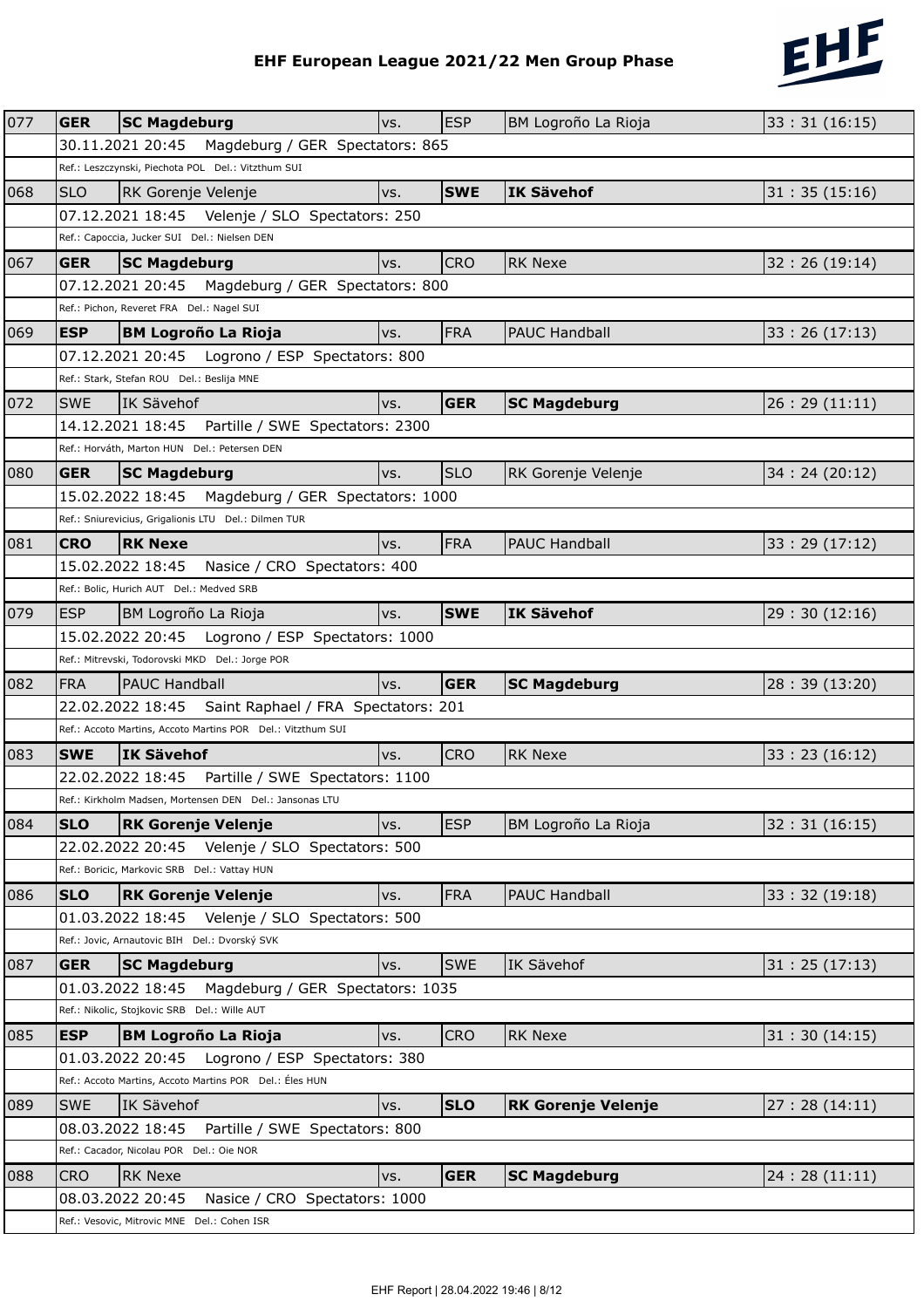

|     |                                              |                                                                                                              |     |            | EHF European League 2021/22 Men Group Phase | 212           |  |  |  |
|-----|----------------------------------------------|--------------------------------------------------------------------------------------------------------------|-----|------------|---------------------------------------------|---------------|--|--|--|
|     |                                              |                                                                                                              |     |            |                                             |               |  |  |  |
| 077 | <b>GER</b>                                   | <b>SC Magdeburg</b>                                                                                          | VS. | <b>ESP</b> | BM Logroño La Rioja                         | 33:31(16:15)  |  |  |  |
|     |                                              | 30.11.2021 20:45  Magdeburg / GER Spectators: 865                                                            |     |            |                                             |               |  |  |  |
|     |                                              | Ref.: Leszczynski, Piechota POL Del.: Vitzthum SUI                                                           |     |            |                                             |               |  |  |  |
| 068 | <b>SLO</b>                                   | RK Gorenje Velenje                                                                                           | vs. | <b>SWE</b> | <b>IK Sävehof</b>                           | 31:35(15:16)  |  |  |  |
|     |                                              | 07.12.2021 18:45  Velenje / SLO Spectators: 250                                                              |     |            |                                             |               |  |  |  |
|     |                                              | Ref.: Capoccia, Jucker SUI Del.: Nielsen DEN                                                                 |     |            |                                             |               |  |  |  |
| 067 | <b>GER</b>                                   | <b>SC Magdeburg</b>                                                                                          | VS. | <b>CRO</b> | <b>RK Nexe</b>                              | 32:26(19:14)  |  |  |  |
|     |                                              | 07.12.2021 20:45 Magdeburg / GER Spectators: 800                                                             |     |            |                                             |               |  |  |  |
|     |                                              | Ref.: Pichon, Reveret FRA Del.: Nagel SUI                                                                    |     |            |                                             |               |  |  |  |
| 069 | <b>ESP</b>                                   | <b>BM Logroño La Rioja</b>                                                                                   | VS. | <b>FRA</b> | <b>PAUC Handball</b>                        | 33:26(17:13)  |  |  |  |
|     |                                              | 07.12.2021 20:45    Logrono / ESP    Spectators: 800                                                         |     |            |                                             |               |  |  |  |
|     |                                              | Ref.: Stark, Stefan ROU Del.: Beslija MNE                                                                    |     |            |                                             |               |  |  |  |
| 072 | <b>SWF</b>                                   | IK Sävehof                                                                                                   | VS. | <b>GER</b> | <b>SC Magdeburg</b>                         | 26:29(11:11)  |  |  |  |
|     |                                              | Partille / SWE Spectators: 2300<br>14.12.2021 18:45                                                          |     |            |                                             |               |  |  |  |
|     | Ref.: Horváth, Marton HUN Del.: Petersen DEN |                                                                                                              |     |            |                                             |               |  |  |  |
| 080 | <b>GER</b>                                   | <b>SC Magdeburg</b>                                                                                          | VS. | <b>SLO</b> | RK Gorenje Velenje                          | 34:24(20:12)  |  |  |  |
|     |                                              | 15.02.2022 18:45<br>Magdeburg / GER Spectators: 1000                                                         |     |            |                                             |               |  |  |  |
|     |                                              | Ref.: Sniurevicius, Grigalionis LTU Del.: Dilmen TUR                                                         |     |            |                                             |               |  |  |  |
| 081 | <b>CRO</b>                                   | <b>RK Nexe</b>                                                                                               | vs. | FRA        | <b>PAUC Handball</b>                        | 33:29(17:12)  |  |  |  |
|     |                                              | 15.02.2022 18:45<br>Nasice / CRO Spectators: 400                                                             |     |            |                                             |               |  |  |  |
|     |                                              | Ref.: Bolic, Hurich AUT Del.: Medved SRB                                                                     |     |            |                                             |               |  |  |  |
| 079 | <b>ESP</b>                                   | BM Logroño La Rioja                                                                                          | vs. | <b>SWE</b> | IK Sävehof                                  | 29:30(12:16)  |  |  |  |
|     |                                              | 15.02.2022 20:45    Logrono / ESP    Spectators: 1000                                                        |     |            |                                             |               |  |  |  |
|     |                                              | Ref.: Mitrevski, Todorovski MKD Del.: Jorge POR                                                              |     |            |                                             |               |  |  |  |
| 082 | <b>FRA</b>                                   | <b>PAUC Handball</b>                                                                                         | vs. | <b>GER</b> | <b>SC Magdeburg</b>                         | 28:39 (13:20) |  |  |  |
|     |                                              | 22.02.2022 18:45 Saint Raphael / FRA Spectators: 201                                                         |     |            |                                             |               |  |  |  |
|     |                                              | Ref.: Accoto Martins, Accoto Martins POR Del.: Vitzthum SUI                                                  |     |            |                                             |               |  |  |  |
| 083 |                                              | <b>SWE</b> IK Sävehof                                                                                        | vs. | <b>CRO</b> | <b>RK Nexe</b>                              | 33:23(16:12)  |  |  |  |
|     |                                              | 22.02.2022 18:45<br>Partille / SWE Spectators: 1100                                                          |     |            |                                             |               |  |  |  |
|     |                                              | Ref.: Kirkholm Madsen, Mortensen DEN Del.: Jansonas LTU                                                      |     |            |                                             |               |  |  |  |
| 084 | <b>SLO</b>                                   | <b>RK Gorenje Velenje</b>                                                                                    | VS. | <b>ESP</b> | BM Logroño La Rioja                         | 32:31(16:15)  |  |  |  |
|     |                                              | 22.02.2022 20:45    Velenje / SLO Spectators: 500                                                            |     |            |                                             |               |  |  |  |
|     |                                              | Ref.: Boricic, Markovic SRB Del.: Vattay HUN                                                                 |     |            |                                             |               |  |  |  |
| 086 | <b>SLO</b>                                   | <b>RK Gorenje Velenje</b>                                                                                    | VS. | <b>FRA</b> | <b>PAUC Handball</b>                        | 33:32(19:18)  |  |  |  |
|     |                                              | 01.03.2022 18:45    Velenje / SLO Spectators: 500                                                            |     |            |                                             |               |  |  |  |
|     |                                              | Ref.: Jovic, Arnautovic BIH Del.: Dvorský SVK                                                                |     |            |                                             |               |  |  |  |
| 087 | <b>GER</b>                                   | <b>SC Magdeburg</b>                                                                                          | VS. | <b>SWE</b> | <b>IK Sävehof</b>                           | 31:25(17:13)  |  |  |  |
|     |                                              | Magdeburg / GER Spectators: 1035<br>01.03.2022 18:45                                                         |     |            |                                             |               |  |  |  |
|     |                                              | Ref.: Nikolic, Stojkovic SRB Del.: Wille AUT                                                                 |     |            |                                             |               |  |  |  |
| 085 | <b>ESP</b>                                   |                                                                                                              |     | <b>CRO</b> | <b>RK Nexe</b>                              |               |  |  |  |
|     |                                              | <b>BM Logroño La Rioja</b>                                                                                   | VS. |            |                                             | 31:30(14:15)  |  |  |  |
|     |                                              | 01.03.2022 20:45    Logrono / ESP Spectators: 380<br>Ref.: Accoto Martins, Accoto Martins POR Del.: Éles HUN |     |            |                                             |               |  |  |  |
|     |                                              |                                                                                                              |     |            |                                             |               |  |  |  |
| 089 | <b>SWE</b>                                   | IK Sävehof                                                                                                   | VS. | <b>SLO</b> | <b>RK Gorenje Velenje</b>                   | 27:28(14:11)  |  |  |  |
|     |                                              | 08.03.2022 18:45<br>Partille / SWE Spectators: 800                                                           |     |            |                                             |               |  |  |  |
|     |                                              | Ref.: Cacador, Nicolau POR Del.: Oie NOR                                                                     |     |            |                                             |               |  |  |  |
| 088 | <b>CRO</b>                                   | <b>RK Nexe</b>                                                                                               | VS. | <b>GER</b> | <b>SC Magdeburg</b>                         | 24:28(11:11)  |  |  |  |
|     |                                              | 08.03.2022 20:45<br>Nasice / CRO Spectators: 1000                                                            |     |            |                                             |               |  |  |  |
|     |                                              | Ref.: Vesovic, Mitrovic MNE Del.: Cohen ISR                                                                  |     |            |                                             |               |  |  |  |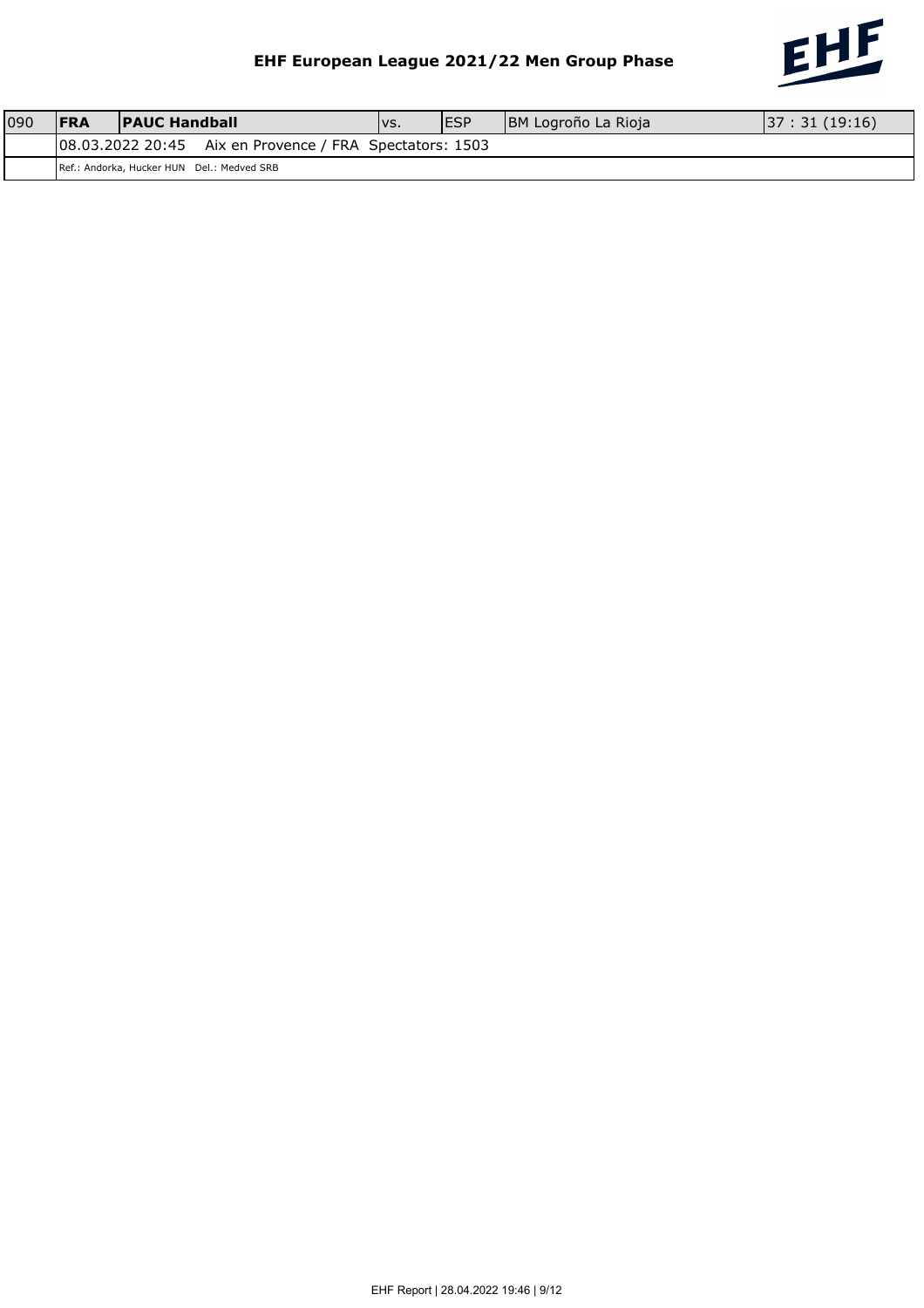

| 090 | <b>IFRA</b> | <b>PAUC Handball</b> |                                                           | IVS. | <b>IESP</b> | BM Logroño La Rioja | 37:31(19:16) |
|-----|-------------|----------------------|-----------------------------------------------------------|------|-------------|---------------------|--------------|
|     |             |                      | $ 08.03.202220:45$ Aix en Provence / FRA Spectators: 1503 |      |             |                     |              |
|     |             |                      | Ref.: Andorka, Hucker HUN Del.: Medved SRB                |      |             |                     |              |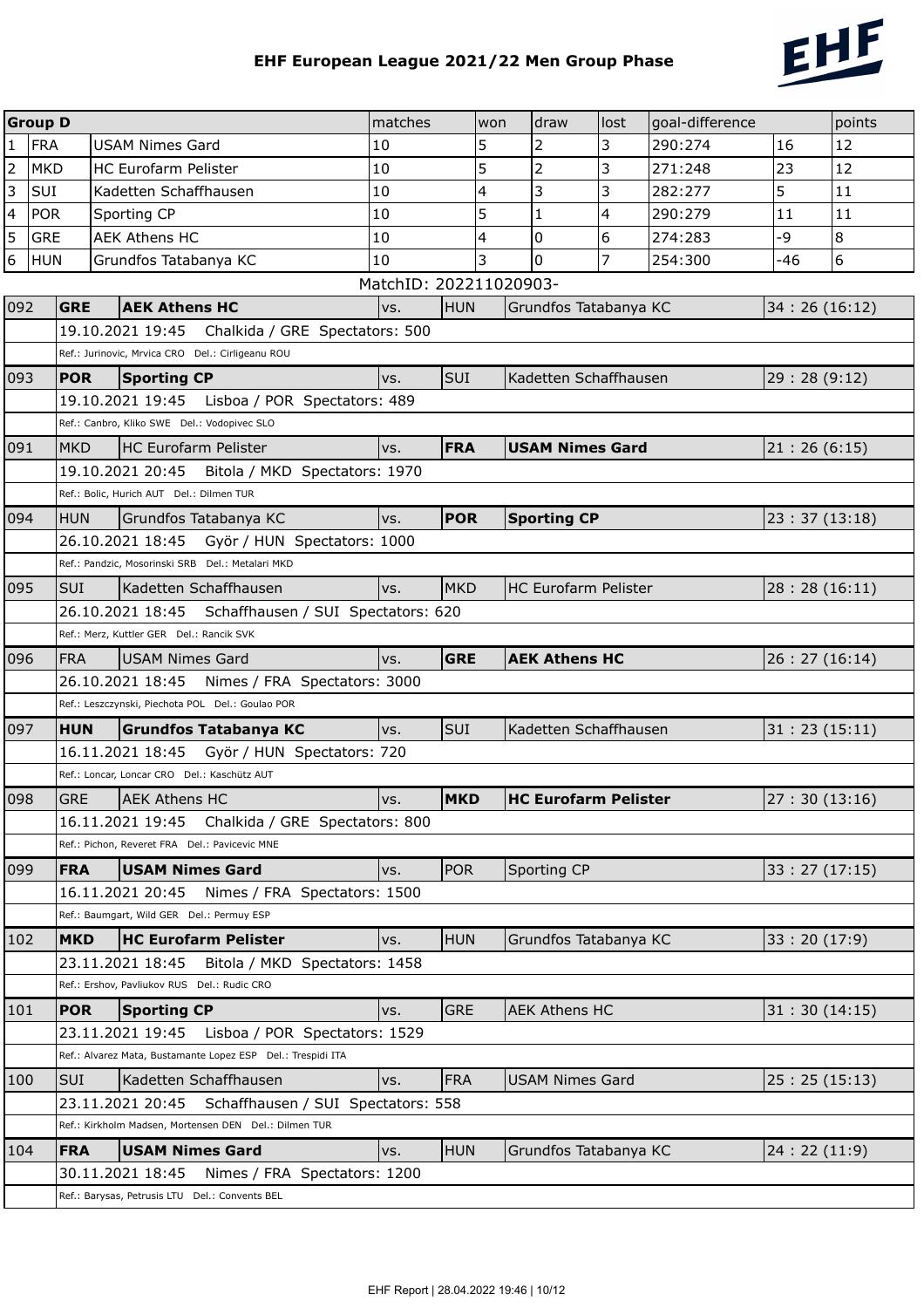

|                         | <b>Group D</b> |            |                                                                                                                  | matches                |                                  | won | draw                        | lost | goal-difference |              | points |
|-------------------------|----------------|------------|------------------------------------------------------------------------------------------------------------------|------------------------|----------------------------------|-----|-----------------------------|------|-----------------|--------------|--------|
| $\mathbf{1}$            | <b>FRA</b>     |            | <b>USAM Nimes Gard</b>                                                                                           | 10                     |                                  | 5   | $\overline{2}$              | 3    | 290:274         | 16           | 12     |
| $\mathbf 2$             | <b>MKD</b>     |            | <b>HC Eurofarm Pelister</b>                                                                                      | 10                     |                                  | 5   | $\overline{2}$              | 3    | 271:248         | 23           | 12     |
| $\overline{3}$          | SUI            |            | Kadetten Schaffhausen                                                                                            | 10                     | 4                                |     | 3                           | 3    | 282:277         | 5            | 11     |
| $\overline{\mathbf{4}}$ | <b>POR</b>     |            | Sporting CP                                                                                                      | 10                     | 5                                |     | 1                           | 4    | 290:279         | 11           | 11     |
| 5                       | <b>GRE</b>     |            | <b>AEK Athens HC</b>                                                                                             | 10                     |                                  | 4   | $\overline{0}$              | 6    | 274:283         | $-9$         | 8      |
| $6\phantom{a}$          | <b>HUN</b>     |            | Grundfos Tatabanya KC                                                                                            | 10                     | 3<br>$\mathbf 0$<br>7<br>254:300 |     |                             |      |                 | -46          | 6      |
|                         |                |            |                                                                                                                  | MatchID: 202211020903- |                                  |     |                             |      |                 |              |        |
| 092                     |                | <b>GRE</b> | <b>AEK Athens HC</b>                                                                                             | VS.                    | <b>HUN</b>                       |     | Grundfos Tatabanya KC       |      |                 | 34:26(16:12) |        |
|                         |                |            | 19.10.2021 19:45 Chalkida / GRE Spectators: 500                                                                  |                        |                                  |     |                             |      |                 |              |        |
|                         |                |            | Ref.: Jurinovic, Mrvica CRO Del.: Cirligeanu ROU                                                                 |                        |                                  |     |                             |      |                 |              |        |
| 093                     |                | <b>POR</b> | <b>Sporting CP</b>                                                                                               | vs.                    | SUI                              |     | Kadetten Schaffhausen       |      |                 | 29:28 (9:12) |        |
|                         |                |            | 19.10.2021 19:45<br>Lisboa / POR Spectators: 489                                                                 |                        |                                  |     |                             |      |                 |              |        |
|                         |                |            | Ref.: Canbro, Kliko SWE Del.: Vodopivec SLO                                                                      |                        |                                  |     |                             |      |                 |              |        |
| 091                     |                | <b>MKD</b> | <b>HC Eurofarm Pelister</b>                                                                                      | vs.                    | <b>FRA</b>                       |     | <b>USAM Nimes Gard</b>      |      |                 | 21:26(6:15)  |        |
|                         |                |            | 19.10.2021 20:45 Bitola / MKD Spectators: 1970<br>Ref.: Bolic, Hurich AUT Del.: Dilmen TUR                       |                        |                                  |     |                             |      |                 |              |        |
| 094                     |                | IHUN       | Grundfos Tatabanya KC                                                                                            | VS.                    | <b>POR</b>                       |     | <b>Sporting CP</b>          |      |                 | 23:37(13:18) |        |
|                         |                |            | 26.10.2021 18:45 Györ / HUN Spectators: 1000                                                                     |                        |                                  |     |                             |      |                 |              |        |
|                         |                |            | Ref.: Pandzic, Mosorinski SRB Del.: Metalari MKD                                                                 |                        |                                  |     |                             |      |                 |              |        |
| 095                     |                | lsui.      | Kadetten Schaffhausen                                                                                            | VS.                    | <b>MKD</b>                       |     | HC Eurofarm Pelister        |      |                 | 28:28(16:11) |        |
|                         |                |            | 26.10.2021 18:45 Schaffhausen / SUI Spectators: 620                                                              |                        |                                  |     |                             |      |                 |              |        |
|                         |                |            | Ref.: Merz, Kuttler GER Del.: Rancik SVK                                                                         |                        |                                  |     |                             |      |                 |              |        |
| 096                     |                | <b>FRA</b> | <b>USAM Nimes Gard</b>                                                                                           | VS.                    | <b>GRE</b>                       |     | <b>AEK Athens HC</b>        |      |                 | 26:27(16:14) |        |
|                         |                |            | 26.10.2021 18:45<br>Nimes / FRA Spectators: 3000                                                                 |                        |                                  |     |                             |      |                 |              |        |
|                         |                |            | Ref.: Leszczynski, Piechota POL Del.: Goulao POR                                                                 |                        |                                  |     |                             |      |                 |              |        |
| 097                     |                | <b>HUN</b> | <b>Grundfos Tatabanya KC</b>                                                                                     | vs.                    | SUI                              |     | Kadetten Schaffhausen       |      |                 | 31:23(15:11) |        |
|                         |                |            | 16.11.2021 18:45 Györ / HUN Spectators: 720                                                                      |                        |                                  |     |                             |      |                 |              |        |
|                         |                |            | Ref.: Loncar, Loncar CRO Del.: Kaschütz AUT                                                                      |                        |                                  |     |                             |      |                 |              |        |
| 098                     |                | <b>GRE</b> | <b>AEK Athens HC</b>                                                                                             | VS.                    | <b>MKD</b>                       |     | <b>HC Eurofarm Pelister</b> |      |                 | 27:30(13:16) |        |
|                         |                |            | 16.11.2021 19:45 Chalkida / GRE Spectators: 800                                                                  |                        |                                  |     |                             |      |                 |              |        |
|                         |                |            | Ref.: Pichon, Reveret FRA Del.: Pavicevic MNE                                                                    |                        |                                  |     |                             |      |                 |              |        |
| 099                     |                | FRA        | <b>USAM Nimes Gard</b>                                                                                           | vs.                    | <b>POR</b>                       |     | Sporting CP                 |      |                 | 33:27(17:15) |        |
|                         |                |            | 16.11.2021 20:45<br>Nimes / FRA Spectators: 1500                                                                 |                        |                                  |     |                             |      |                 |              |        |
|                         |                |            | Ref.: Baumgart, Wild GER Del.: Permuy ESP                                                                        |                        |                                  |     |                             |      |                 |              |        |
| 102                     |                | <b>MKD</b> | <b>HC Eurofarm Pelister</b>                                                                                      | vs.                    | <b>HUN</b>                       |     | Grundfos Tatabanya KC       |      |                 | 33:20(17:9)  |        |
|                         |                |            | 23.11.2021 18:45<br>Bitola / MKD Spectators: 1458                                                                |                        |                                  |     |                             |      |                 |              |        |
|                         |                |            | Ref.: Ershov, Pavliukov RUS Del.: Rudic CRO                                                                      |                        |                                  |     |                             |      |                 |              |        |
| 101                     |                | <b>POR</b> | <b>Sporting CP</b>                                                                                               | VS.                    | <b>GRE</b>                       |     | <b>AEK Athens HC</b>        |      |                 | 31:30(14:15) |        |
|                         |                |            | 23.11.2021 19:45<br>Lisboa / POR Spectators: 1529<br>Ref.: Alvarez Mata, Bustamante Lopez ESP Del.: Trespidi ITA |                        |                                  |     |                             |      |                 |              |        |
| 100                     |                | <b>SUI</b> | Kadetten Schaffhausen                                                                                            | VS.                    | <b>FRA</b>                       |     | <b>USAM Nimes Gard</b>      |      |                 | 25:25(15:13) |        |
|                         |                |            | 23.11.2021 20:45<br>Schaffhausen / SUI Spectators: 558                                                           |                        |                                  |     |                             |      |                 |              |        |
|                         |                |            | Ref.: Kirkholm Madsen, Mortensen DEN Del.: Dilmen TUR                                                            |                        |                                  |     |                             |      |                 |              |        |
| 104                     |                | <b>FRA</b> | <b>USAM Nimes Gard</b>                                                                                           | vs.                    | <b>HUN</b>                       |     | Grundfos Tatabanya KC       |      |                 | 24:22(11:9)  |        |
|                         |                |            | 30.11.2021 18:45<br>Nimes / FRA Spectators: 1200                                                                 |                        |                                  |     |                             |      |                 |              |        |
|                         |                |            | Ref.: Barysas, Petrusis LTU Del.: Convents BEL                                                                   |                        |                                  |     |                             |      |                 |              |        |
|                         |                |            |                                                                                                                  |                        |                                  |     |                             |      |                 |              |        |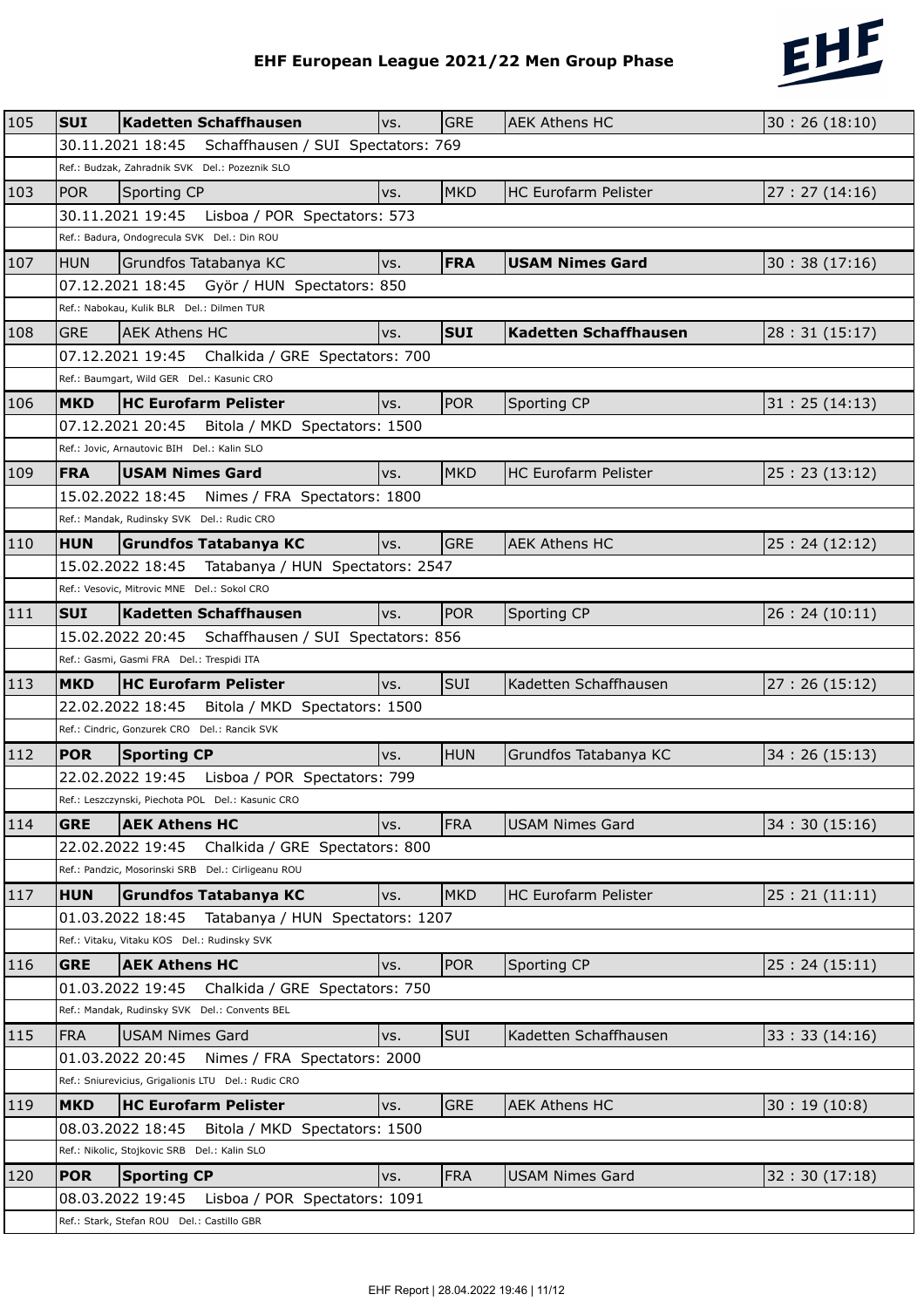

|     |            |                                                        |                                    |     |            | EHF European League 2021/22 Men Group Phase | 2122          |
|-----|------------|--------------------------------------------------------|------------------------------------|-----|------------|---------------------------------------------|---------------|
|     |            |                                                        |                                    |     |            |                                             |               |
| 105 | <b>SUI</b> | <b>Kadetten Schaffhausen</b>                           |                                    | VS. | <b>GRE</b> | <b>AEK Athens HC</b>                        | 30:26(18:10)  |
|     |            | 30.11.2021 18:45                                       | Schaffhausen / SUI Spectators: 769 |     |            |                                             |               |
|     |            | Ref.: Budzak, Zahradnik SVK Del.: Pozeznik SLO         |                                    |     |            |                                             |               |
| 103 | <b>POR</b> | Sporting CP                                            |                                    | vs. | <b>MKD</b> | HC Eurofarm Pelister                        | 27:27(14:16)  |
|     |            | 30.11.2021 19:45                                       | Lisboa / POR Spectators: 573       |     |            |                                             |               |
|     |            | Ref.: Badura, Ondogrecula SVK Del.: Din ROU            |                                    |     |            |                                             |               |
| 107 | <b>HUN</b> | Grundfos Tatabanya KC                                  |                                    | vs. | <b>FRA</b> | <b>USAM Nimes Gard</b>                      | 30:38(17:16)  |
|     |            | 07.12.2021 18:45 Györ / HUN Spectators: 850            |                                    |     |            |                                             |               |
|     |            | Ref.: Nabokau, Kulik BLR Del.: Dilmen TUR              |                                    |     |            |                                             |               |
| 108 | <b>GRE</b> | <b>AEK Athens HC</b>                                   |                                    | vs. | <b>SUI</b> | Kadetten Schaffhausen                       | 28:31(15:17)  |
|     |            | 07.12.2021 19:45 Chalkida / GRE Spectators: 700        |                                    |     |            |                                             |               |
|     |            | Ref.: Baumgart, Wild GER Del.: Kasunic CRO             |                                    |     |            |                                             |               |
| 106 | <b>MKD</b> | <b>HC Eurofarm Pelister</b>                            |                                    | VS. | <b>POR</b> | Sporting CP                                 | 31:25(14:13)  |
|     |            | 07.12.2021 20:45                                       | Bitola / MKD Spectators: 1500      |     |            |                                             |               |
|     |            | Ref.: Jovic, Arnautovic BIH Del.: Kalin SLO            |                                    |     |            |                                             |               |
| 109 | <b>FRA</b> | USAM Nimes Gard                                        |                                    | VS. | <b>MKD</b> | <b>HC Eurofarm Pelister</b>                 | 25:23(13:12)  |
|     |            | 15.02.2022 18:45                                       | Nimes / FRA Spectators: 1800       |     |            |                                             |               |
|     |            | Ref.: Mandak, Rudinsky SVK Del.: Rudic CRO             |                                    |     |            |                                             |               |
| 110 | <b>HUN</b> | <b>Grundfos Tatabanya KC</b>                           |                                    | vs. | <b>GRE</b> | <b>AEK Athens HC</b>                        | 25:24(12:12)  |
|     |            | 15.02.2022 18:45    Tatabanya / HUN Spectators: 2547   |                                    |     |            |                                             |               |
|     |            | Ref.: Vesovic, Mitrovic MNE Del.: Sokol CRO            |                                    |     |            |                                             |               |
| 111 | <b>SUI</b> | <b>Kadetten Schaffhausen</b>                           |                                    | vs. | <b>POR</b> | Sporting CP                                 | 26: 24(10:11) |
|     |            | 15.02.2022 20:45    Schaffhausen / SUI Spectators: 856 |                                    |     |            |                                             |               |
|     |            | Ref.: Gasmi, Gasmi FRA Del.: Trespidi ITA              |                                    |     |            |                                             |               |
| 113 | <b>MKD</b> | <b>HC Eurofarm Pelister</b>                            |                                    | vs. | SUI        | Kadetten Schaffhausen                       | 27:26(15:12)  |
|     |            | 22.02.2022 18:45                                       | Bitola / MKD Spectators: 1500      |     |            |                                             |               |
|     |            | Ref.: Cindric, Gonzurek CRO Del.: Rancik SVK           |                                    |     |            |                                             |               |
| 112 |            | <b>POR</b> Sporting CP                                 |                                    | vs. | HUN        | Grundfos Tatabanya KC                       | 34:26(15:13)  |
|     |            | 22.02.2022 19:45    Lisboa / POR Spectators: 799       |                                    |     |            |                                             |               |
|     |            | Ref.: Leszczynski, Piechota POL Del.: Kasunic CRO      |                                    |     |            |                                             |               |
| 114 | <b>GRE</b> | <b>AEK Athens HC</b>                                   |                                    | vs. | <b>FRA</b> | <b>USAM Nimes Gard</b>                      | 34:30(15:16)  |
|     |            | 22.02.2022 19:45                                       | Chalkida / GRE Spectators: 800     |     |            |                                             |               |
|     |            | Ref.: Pandzic, Mosorinski SRB Del.: Cirligeanu ROU     |                                    |     |            |                                             |               |
| 117 | <b>HUN</b> | <b>Grundfos Tatabanya KC</b>                           |                                    | VS. | <b>MKD</b> | HC Eurofarm Pelister                        | 25:21(11:11)  |
|     |            | 01.03.2022 18:45                                       | Tatabanya / HUN Spectators: 1207   |     |            |                                             |               |
|     |            | Ref.: Vitaku, Vitaku KOS Del.: Rudinsky SVK            |                                    |     |            |                                             |               |
| 116 | <b>GRE</b> | <b>AEK Athens HC</b>                                   |                                    | vs. | <b>POR</b> | Sporting CP                                 | 25:24(15:11)  |
|     |            | 01.03.2022 19:45                                       | Chalkida / GRE Spectators: 750     |     |            |                                             |               |
|     |            | Ref.: Mandak, Rudinsky SVK Del.: Convents BEL          |                                    |     |            |                                             |               |
| 115 | <b>FRA</b> | <b>USAM Nimes Gard</b>                                 |                                    | vs. | SUI        | Kadetten Schaffhausen                       | 33:33(14:16)  |
|     |            | 01.03.2022 20:45 Nimes / FRA Spectators: 2000          |                                    |     |            |                                             |               |
|     |            | Ref.: Sniurevicius, Grigalionis LTU Del.: Rudic CRO    |                                    |     |            |                                             |               |
| 119 | <b>MKD</b> | <b>HC Eurofarm Pelister</b>                            |                                    | VS. | <b>GRE</b> | <b>AEK Athens HC</b>                        | 30:19(10:8)   |
|     |            | 08.03.2022 18:45                                       | Bitola / MKD Spectators: 1500      |     |            |                                             |               |
|     |            | Ref.: Nikolic, Stojkovic SRB Del.: Kalin SLO           |                                    |     |            |                                             |               |
| 120 | <b>POR</b> | <b>Sporting CP</b>                                     |                                    | vs. | <b>FRA</b> | <b>USAM Nimes Gard</b>                      | 32:30(17:18)  |
|     |            | 08.03.2022 19:45                                       | Lisboa / POR Spectators: 1091      |     |            |                                             |               |
|     |            | Ref.: Stark, Stefan ROU Del.: Castillo GBR             |                                    |     |            |                                             |               |